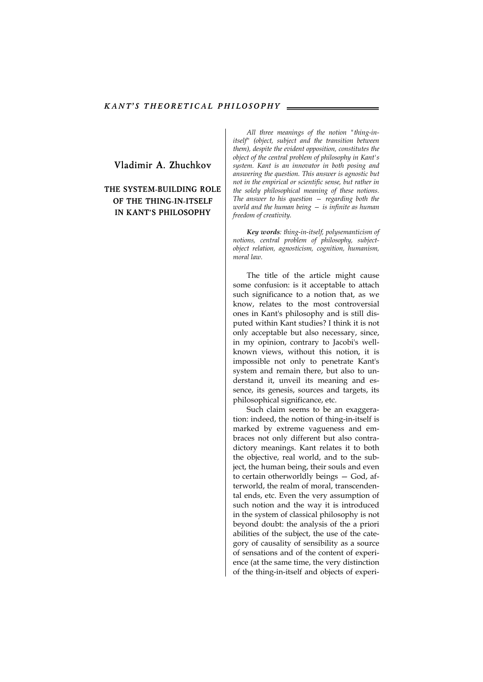**Vladimir A. Zhuchkov** 

## **THE SYSTEM-BUILDING ROLE OF THE THING-IN-ITSELF IN KANT'S PHILOSOPHY**

*All three meanings of the notion "thing-initself" (object, subject and the transition between them), despite the evident opposition, constitutes the object of the central problem of philosophy in Kant's system. Kant is an innovator in both posing and answering the question. This answer is agnostic but not in the empirical or scientific sense, but rather in the solely philosophical meaning of these notions. The answer to his question — regarding both the world and the human being — is infinite as human freedom of creativity.* 

*Key words: thing-in-itself, polysemanticism of notions, central problem of philosophy, subjectobjeсt relation, agnosticism, cognition, humanism, moral law.* 

The title of the article might cause some confusion: is it acceptable to attach such significance to a notion that, as we know, relates to the most controversial ones in Kant's philosophy and is still disputed within Kant studies? I think it is not only acceptable but also necessary, since, in my opinion, contrary to Jacobi's wellknown views, without this notion, it is impossible not only to penetrate Kant's system and remain there, but also to understand it, unveil its meaning and essence, its genesis, sources and targets, its philosophical significance, etc.

Such claim seems to be an exaggeration: indeed, the notion of thing-in-itself is marked by extreme vagueness and embraces not only different but also contradictory meanings. Kant relates it to both the objective, real world, and to the subject, the human being, their souls and even to certain otherworldly beings — God, afterworld, the realm of moral, transcendental ends, etc. Even the very assumption of such notion and the way it is introduced in the system of classical philosophy is not beyond doubt: the analysis of the a priori abilities of the subject, the use of the category of causality of sensibility as a source of sensations and of the content of experience (at the same time, the very distinction of the thing-in-itself and objects of experi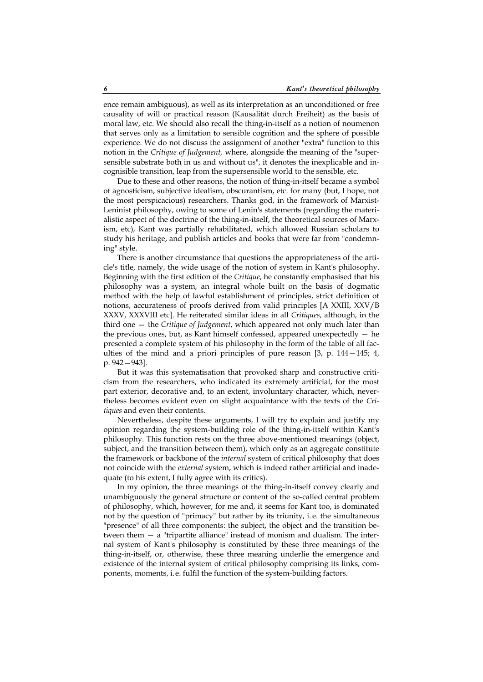ence remain ambiguous), as well as its interpretation as an unconditioned or free causality of will or practical reason (Kausalität durch Freiheit) as the basis of moral law, etc. We should also recall the thing-in-itself as a notion of noumenon that serves only as a limitation to sensible cognition and the sphere of possible experience. We do not discuss the assignment of another "extra" function to this notion in the *Critique of Judgement,* where, alongside the meaning of the "supersensible substrate both in us and without us", it denotes the inexplicable and incognisible transition, leap from the supersensible world to the sensible, etc.

Due to these and other reasons, the notion of thing-in-itself became a symbol of agnosticism, subjective idealism, obscurantism, etc. for many (but, I hope, not the most perspicacious) researchers. Thanks god, in the framework of Marxist-Leninist philosophy, owing to some of Lenin's statements (regarding the materialistic aspect of the doctrine of the thing-in-itself, the theoretical sources of Marxism, etc), Kant was partially rehabilitated, which allowed Russian scholars to study his heritage, and publish articles and books that were far from "condemning" style.

There is another circumstance that questions the appropriateness of the article's title, namely, the wide usage of the notion of system in Kant's philosophy. Beginning with the first edition of the *Critique*, he constantly emphasised that his philosophy was a system, an integral whole built on the basis of dogmatic method with the help of lawful establishment of principles, strict definition of notions, accurateness of proofs derived from valid principles [А XXIII, XXV/В XXXV, XXXVIII etc]. He reiterated similar ideas in all *Critiques*, although, in the third one — the *Critique of Judgement*, which appeared not only much later than the previous ones, but, as Kant himself confessed, appeared unexpectedly — he presented a complete system of his philosophy in the form of the table of all faculties of the mind and a priori principles of pure reason [3, p. 144—145; 4, p. 942—943].

But it was this systematisation that provoked sharp and constructive criticism from the researchers, who indicated its extremely artificial, for the most part exterior, decorative and, to an extent, involuntary character, which, nevertheless becomes evident even on slight acquaintance with the texts of the *Critiques* and even their contents.

Nevertheless, despite these arguments, I will try to explain and justify my opinion regarding the system-building role of the thing-in-itself within Kant's philosophy. This function rests on the three above-mentioned meanings (object, subject, and the transition between them), which only as an aggregate constitute the framework or backbone of the *internal* system of critical philosophy that does not coincide with the *external* system, which is indeed rather artificial and inadequate (to his extent, I fully agree with its critics).

In my opinion, the three meanings of the thing-in-itself convey clearly and unambiguously the general structure or content of the so-called central problem of philosophy, which, however, for me and, it seems for Kant too, is dominated not by the question of "primacy" but rather by its triunity, i. e. the simultaneous "presence" of all three components: the subject, the object and the transition between them — a "tripartite alliance" instead of monism and dualism. The internal system of Kant's philosophy is constituted by these three meanings of the thing-in-itself, or, otherwise, these three meaning underlie the emergence and existence of the internal system of critical philosophy comprising its links, components, moments, i.e. fulfil the function of the system-building factors.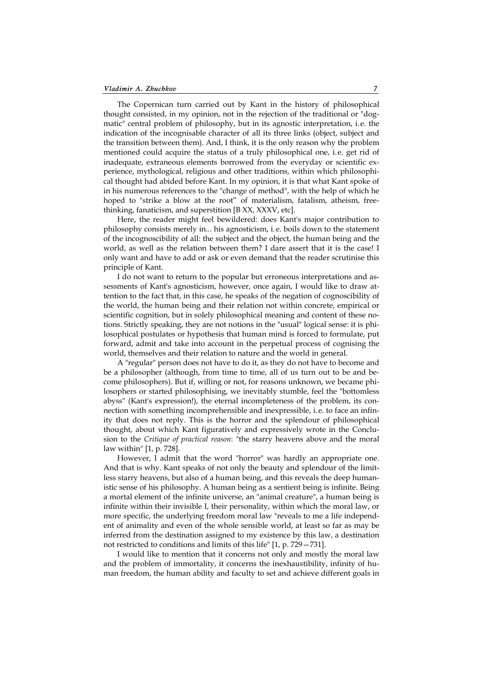The Copernican turn carried out by Kant in the history of philosophical thought consisted, in my opinion, not in the rejection of the traditional or "dogmatic" central problem of philosophy, but in its agnostic interpretation, i. e. the indication of the incognisable character of all its three links (object, subject and the transition between them). And, I think, it is the only reason why the problem mentioned could acquire the status of a truly philosophical one, i.e. get rid of inadequate, extraneous elements borrowed from the everyday or scientific experience, mythological, religious and other traditions, within which philosophical thought had abided before Kant. In my opinion, it is that what Kant spoke of in his numerous references to the "change of method", with the help of which he hoped to "strike a blow at the root" of materialism, fatalism, atheism, freethinking, fanaticism, and superstition [B ХХ, XXXV, etc].

Here, the reader might feel bewildered: does Kant's major contribution to philosophy consists merely in... his agnosticism, i. e. boils down to the statement of the incognoscibility of all: the subject and the object, the human being and the world, as well as the relation between them? I dare assert that it is the case! I only want and have to add or ask or even demand that the reader scrutinise this principle of Kant.

I do not want to return to the popular but erroneous interpretations and assessments of Kant's agnosticism, however, once again, I would like to draw attention to the fact that, in this case, he speaks of the negation of cognoscibility of the world, the human being and their relation not within concrete, empirical or scientific cognition, but in solely philosophical meaning and content of these notions. Strictly speaking, they are not notions in the "usual" logical sense: it is philosophical postulates or hypothesis that human mind is forced to formulate, put forward, admit and take into account in the perpetual process of cognising the world, themselves and their relation to nature and the world in general.

A "regular" person does not have to do it, as they do not have to become and be a philosopher (although, from time to time, all of us turn out to be and become philosophers). But if, willing or not, for reasons unknown, we became philosophers or started philosophising, we inevitably stumble, feel the "bottomless abyss" (Kant's expression!), the eternal incompleteness of the problem, its connection with something incomprehensible and inexpressible, i. e. to face an infinity that does not reply. This is the horror and the splendour of philosophical thought, about which Kant figuratively and expressively wrote in the Conclusion to the *Critique of practical reason*: "the starry heavens above and the moral law within" [1, p. 728].

However, I admit that the word "horror" was hardly an appropriate one. And that is why. Kant speaks of not only the beauty and splendour of the limitless starry heavens, but also of a human being, and this reveals the deep humanistic sense of his philosophy. A human being as a sentient being is infinite. Being a mortal element of the infinite universe, an "animal creature", a human being is infinite within their invisible I, their personality, within which the moral law, or more specific, the underlying freedom moral law "reveals to me a life independent of animality and even of the whole sensible world, at least so far as may be inferred from the destination assigned to my existence by this law, a destination not restricted to conditions and limits of this life" [1, p. 729—731].

I would like to mention that it concerns not only and mostly the moral law and the problem of immortality, it concerns the inexhaustibility, infinity of human freedom, the human ability and faculty to set and achieve different goals in